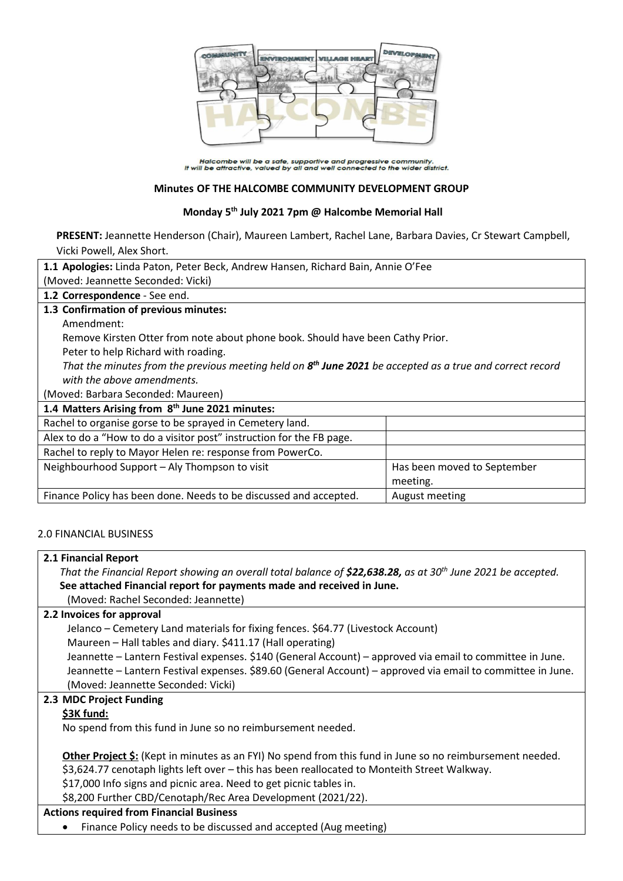

Halcombe will be a safe, supportive and progressive community.<br>It will be attractive, valued by all and well connected to the wider district.

## **Minutes OF THE HALCOMBE COMMUNITY DEVELOPMENT GROUP**

## **Monday 5th July 2021 7pm @ Halcombe Memorial Hall**

**PRESENT:** Jeannette Henderson (Chair), Maureen Lambert, Rachel Lane, Barbara Davies, Cr Stewart Campbell, Vicki Powell, Alex Short.

| 1.1 Apologies: Linda Paton, Peter Beck, Andrew Hansen, Richard Bain, Annie O'Fee                            |                             |  |
|-------------------------------------------------------------------------------------------------------------|-----------------------------|--|
| (Moved: Jeannette Seconded: Vicki)                                                                          |                             |  |
| 1.2 Correspondence - See end.                                                                               |                             |  |
| 1.3 Confirmation of previous minutes:                                                                       |                             |  |
| Amendment:                                                                                                  |                             |  |
| Remove Kirsten Otter from note about phone book. Should have been Cathy Prior.                              |                             |  |
| Peter to help Richard with roading.                                                                         |                             |  |
| That the minutes from the previous meeting held on $8th$ June 2021 be accepted as a true and correct record |                             |  |
| with the above amendments.                                                                                  |                             |  |
| (Moved: Barbara Seconded: Maureen)                                                                          |                             |  |
| 1.4 Matters Arising from 8 <sup>th</sup> June 2021 minutes:                                                 |                             |  |
| Rachel to organise gorse to be sprayed in Cemetery land.                                                    |                             |  |
| Alex to do a "How to do a visitor post" instruction for the FB page.                                        |                             |  |
| Rachel to reply to Mayor Helen re: response from PowerCo.                                                   |                             |  |
| Neighbourhood Support - Aly Thompson to visit                                                               | Has been moved to September |  |
|                                                                                                             | meeting.                    |  |
| Finance Policy has been done. Needs to be discussed and accepted.                                           | August meeting              |  |
|                                                                                                             |                             |  |

# 2.0 FINANCIAL BUSINESS

#### **2.1 Financial Report**

*That the Financial Report showing an overall total balance of \$22,638.28, as at 30th June 2021 be accepted.* **See attached Financial report for payments made and received in June.**

(Moved: Rachel Seconded: Jeannette)

#### **2.2 Invoices for approval**

Jelanco – Cemetery Land materials for fixing fences. \$64.77 (Livestock Account)

Maureen – Hall tables and diary. \$411.17 (Hall operating)

Jeannette – Lantern Festival expenses. \$140 (General Account) – approved via email to committee in June. Jeannette – Lantern Festival expenses. \$89.60 (General Account) – approved via email to committee in June. (Moved: Jeannette Seconded: Vicki)

#### **2.3 MDC Project Funding**

#### **\$3K fund:**

No spend from this fund in June so no reimbursement needed.

**Other Project \$:** (Kept in minutes as an FYI) No spend from this fund in June so no reimbursement needed. \$3,624.77 cenotaph lights left over – this has been reallocated to Monteith Street Walkway.

\$17,000 Info signs and picnic area. Need to get picnic tables in.

\$8,200 Further CBD/Cenotaph/Rec Area Development (2021/22).

## **Actions required from Financial Business**

Finance Policy needs to be discussed and accepted (Aug meeting)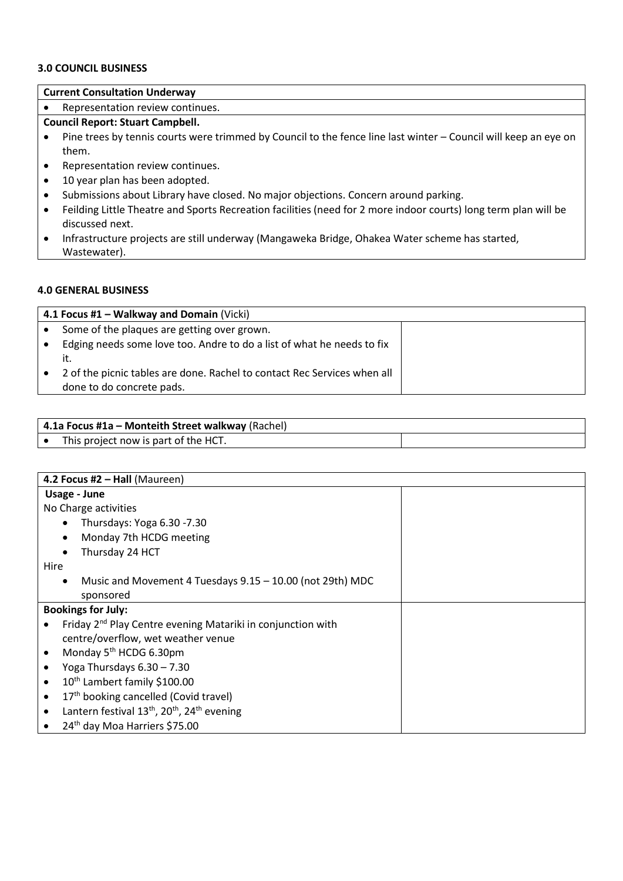#### **3.0 COUNCIL BUSINESS**

# **Current Consultation Underway**

• Representation review continues.

### **Council Report: Stuart Campbell.**

- Pine trees by tennis courts were trimmed by Council to the fence line last winter Council will keep an eye on them.
- Representation review continues.
- 10 year plan has been adopted.
- Submissions about Library have closed. No major objections. Concern around parking.
- Feilding Little Theatre and Sports Recreation facilities (need for 2 more indoor courts) long term plan will be discussed next.
- Infrastructure projects are still underway (Mangaweka Bridge, Ohakea Water scheme has started, Wastewater).

#### **4.0 GENERAL BUSINESS**

| 4.1 Focus #1 – Walkway and Domain (Vicki)                                |  |  |
|--------------------------------------------------------------------------|--|--|
| Some of the plaques are getting over grown.                              |  |  |
| Edging needs some love too. Andre to do a list of what he needs to fix   |  |  |
|                                                                          |  |  |
| 2 of the picnic tables are done. Rachel to contact Rec Services when all |  |  |
| done to do concrete pads.                                                |  |  |

|           | 4.1a Focus #1a – Monteith Street walkway (Rachel) |  |
|-----------|---------------------------------------------------|--|
| $\bullet$ | This project now is part of the HCT.              |  |

| 4.2 Focus #2 - Hall (Maureen)                                                                |  |  |
|----------------------------------------------------------------------------------------------|--|--|
| Usage - June                                                                                 |  |  |
| No Charge activities                                                                         |  |  |
| Thursdays: Yoga 6.30 - 7.30<br>$\bullet$                                                     |  |  |
| Monday 7th HCDG meeting<br>$\bullet$                                                         |  |  |
| Thursday 24 HCT<br>$\bullet$                                                                 |  |  |
| Hire                                                                                         |  |  |
| Music and Movement 4 Tuesdays 9.15 - 10.00 (not 29th) MDC<br>$\bullet$                       |  |  |
| sponsored                                                                                    |  |  |
| <b>Bookings for July:</b>                                                                    |  |  |
| Friday 2 <sup>nd</sup> Play Centre evening Matariki in conjunction with                      |  |  |
| centre/overflow, wet weather venue                                                           |  |  |
| Monday 5 <sup>th</sup> HCDG 6.30pm                                                           |  |  |
| Yoga Thursdays $6.30 - 7.30$                                                                 |  |  |
| 10th Lambert family \$100.00                                                                 |  |  |
| 17th booking cancelled (Covid travel)                                                        |  |  |
| Lantern festival 13 <sup>th</sup> , 20 <sup>th</sup> , 24 <sup>th</sup> evening<br>$\bullet$ |  |  |
| 24 <sup>th</sup> day Moa Harriers \$75.00                                                    |  |  |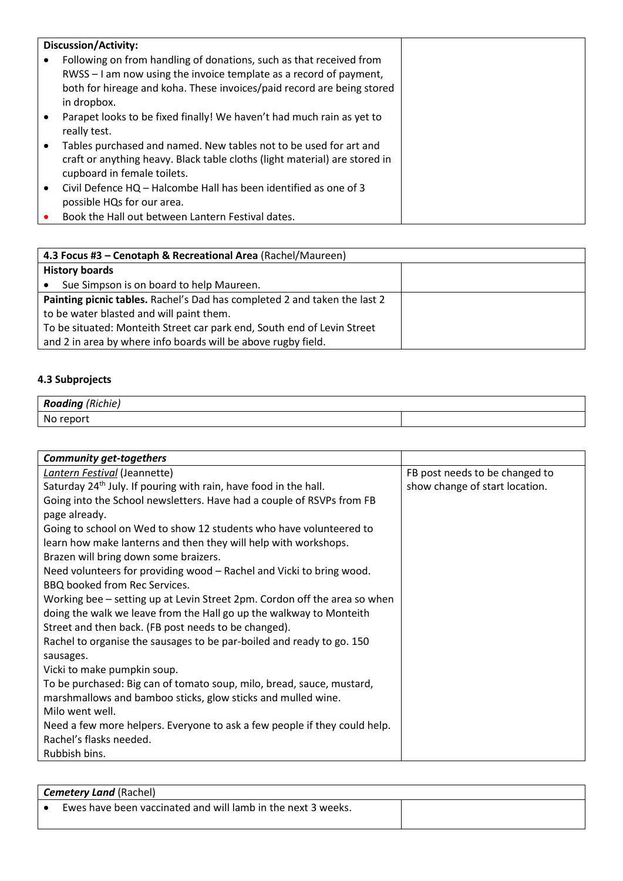|  | <b>Discussion/Activity:</b>                                                                                                                                                    |
|--|--------------------------------------------------------------------------------------------------------------------------------------------------------------------------------|
|  | Following on from handling of donations, such as that received from                                                                                                            |
|  | RWSS – I am now using the invoice template as a record of payment,                                                                                                             |
|  | both for hireage and koha. These invoices/paid record are being stored                                                                                                         |
|  | in dropbox.                                                                                                                                                                    |
|  | Parapet looks to be fixed finally! We haven't had much rain as yet to<br>really test.                                                                                          |
|  | Tables purchased and named. New tables not to be used for art and<br>craft or anything heavy. Black table cloths (light material) are stored in<br>cupboard in female toilets. |
|  | Civil Defence HQ - Halcombe Hall has been identified as one of 3<br>possible HQs for our area.                                                                                 |
|  | Book the Hall out between Lantern Festival dates.                                                                                                                              |

| 4.3 Focus #3 - Cenotaph & Recreational Area (Rachel/Maureen)              |  |  |
|---------------------------------------------------------------------------|--|--|
| <b>History boards</b>                                                     |  |  |
| Sue Simpson is on board to help Maureen.                                  |  |  |
| Painting picnic tables. Rachel's Dad has completed 2 and taken the last 2 |  |  |
| to be water blasted and will paint them.                                  |  |  |
| To be situated: Monteith Street car park end, South end of Levin Street   |  |  |
| and 2 in area by where info boards will be above rugby field.             |  |  |

# **4.3 Subprojects**

| (Richie)<br>Roading |  |
|---------------------|--|
| No report           |  |

| <b>Community get-togethers</b>                                               |                                |
|------------------------------------------------------------------------------|--------------------------------|
| Lantern Festival (Jeannette)                                                 | FB post needs to be changed to |
| Saturday 24 <sup>th</sup> July. If pouring with rain, have food in the hall. | show change of start location. |
| Going into the School newsletters. Have had a couple of RSVPs from FB        |                                |
| page already.                                                                |                                |
| Going to school on Wed to show 12 students who have volunteered to           |                                |
| learn how make lanterns and then they will help with workshops.              |                                |
| Brazen will bring down some braizers.                                        |                                |
| Need volunteers for providing wood - Rachel and Vicki to bring wood.         |                                |
| BBQ booked from Rec Services.                                                |                                |
| Working bee – setting up at Levin Street 2pm. Cordon off the area so when    |                                |
| doing the walk we leave from the Hall go up the walkway to Monteith          |                                |
| Street and then back. (FB post needs to be changed).                         |                                |
| Rachel to organise the sausages to be par-boiled and ready to go. 150        |                                |
| sausages.                                                                    |                                |
| Vicki to make pumpkin soup.                                                  |                                |
| To be purchased: Big can of tomato soup, milo, bread, sauce, mustard,        |                                |
| marshmallows and bamboo sticks, glow sticks and mulled wine.                 |                                |
| Milo went well.                                                              |                                |
| Need a few more helpers. Everyone to ask a few people if they could help.    |                                |
| Rachel's flasks needed.                                                      |                                |
| Rubbish bins.                                                                |                                |

| <b>Cemetery Land (Rachel)</b> |                                                              |  |
|-------------------------------|--------------------------------------------------------------|--|
|                               | Ewes have been vaccinated and will lamb in the next 3 weeks. |  |
|                               |                                                              |  |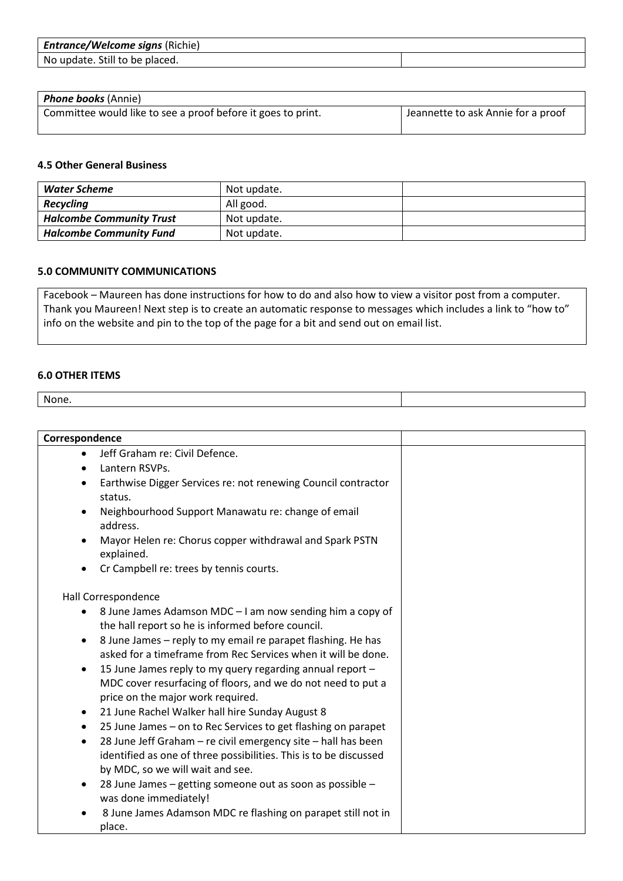| <b>Entrance/Welcome signs (Richie)</b> |  |
|----------------------------------------|--|
| No update. Still to be placed.         |  |

| Phone books (Annie)                                          |                                    |
|--------------------------------------------------------------|------------------------------------|
| Committee would like to see a proof before it goes to print. | Jeannette to ask Annie for a proof |

#### **4.5 Other General Business**

| Water Scheme                    | Not update. |  |
|---------------------------------|-------------|--|
| <b>Recycling</b>                | All good.   |  |
| <b>Halcombe Community Trust</b> | Not update. |  |
| <b>Halcombe Community Fund</b>  | Not update. |  |

## **5.0 COMMUNITY COMMUNICATIONS**

Facebook – Maureen has done instructions for how to do and also how to view a visitor post from a computer. Thank you Maureen! Next step is to create an automatic response to messages which includes a link to "how to" info on the website and pin to the top of the page for a bit and send out on email list.

#### **6.0 OTHER ITEMS**

None.

| Correspondence |                                                                                    |  |
|----------------|------------------------------------------------------------------------------------|--|
|                | Jeff Graham re: Civil Defence.                                                     |  |
| $\bullet$      | Lantern RSVPs.                                                                     |  |
| $\bullet$      | Earthwise Digger Services re: not renewing Council contractor                      |  |
|                | status.                                                                            |  |
| $\bullet$      | Neighbourhood Support Manawatu re: change of email<br>address.                     |  |
|                | Mayor Helen re: Chorus copper withdrawal and Spark PSTN<br>explained.              |  |
| $\bullet$      | Cr Campbell re: trees by tennis courts.                                            |  |
|                | Hall Correspondence                                                                |  |
| $\bullet$      | 8 June James Adamson MDC - I am now sending him a copy of                          |  |
|                | the hall report so he is informed before council.                                  |  |
| $\bullet$      | 8 June James - reply to my email re parapet flashing. He has                       |  |
|                | asked for a timeframe from Rec Services when it will be done.                      |  |
| $\bullet$      | 15 June James reply to my query regarding annual report -                          |  |
|                | MDC cover resurfacing of floors, and we do not need to put a                       |  |
|                | price on the major work required.                                                  |  |
| ٠              | 21 June Rachel Walker hall hire Sunday August 8                                    |  |
| ٠              | 25 June James - on to Rec Services to get flashing on parapet                      |  |
| $\bullet$      | 28 June Jeff Graham - re civil emergency site - hall has been                      |  |
|                | identified as one of three possibilities. This is to be discussed                  |  |
|                | by MDC, so we will wait and see.                                                   |  |
| $\bullet$      | 28 June James – getting someone out as soon as possible –<br>was done immediately! |  |
|                | 8 June James Adamson MDC re flashing on parapet still not in                       |  |
|                | place.                                                                             |  |